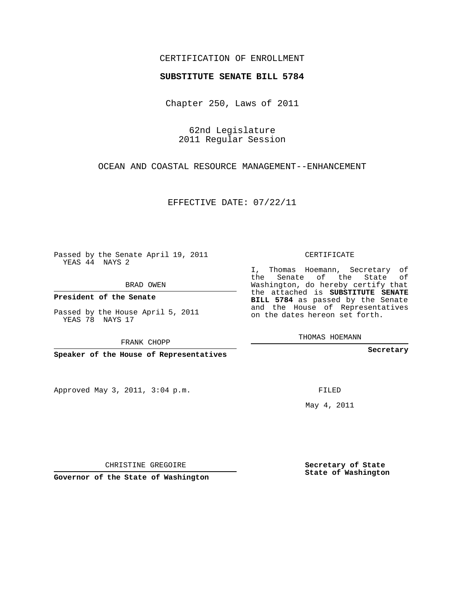## CERTIFICATION OF ENROLLMENT

## **SUBSTITUTE SENATE BILL 5784**

Chapter 250, Laws of 2011

62nd Legislature 2011 Regular Session

OCEAN AND COASTAL RESOURCE MANAGEMENT--ENHANCEMENT

EFFECTIVE DATE: 07/22/11

Passed by the Senate April 19, 2011 YEAS 44 NAYS 2

BRAD OWEN

**President of the Senate**

Passed by the House April 5, 2011 YEAS 78 NAYS 17

FRANK CHOPP

**Speaker of the House of Representatives**

Approved May 3, 2011, 3:04 p.m.

CERTIFICATE

I, Thomas Hoemann, Secretary of the Senate of the State of Washington, do hereby certify that the attached is **SUBSTITUTE SENATE BILL 5784** as passed by the Senate and the House of Representatives on the dates hereon set forth.

THOMAS HOEMANN

**Secretary**

FILED

May 4, 2011

**Secretary of State State of Washington**

CHRISTINE GREGOIRE

**Governor of the State of Washington**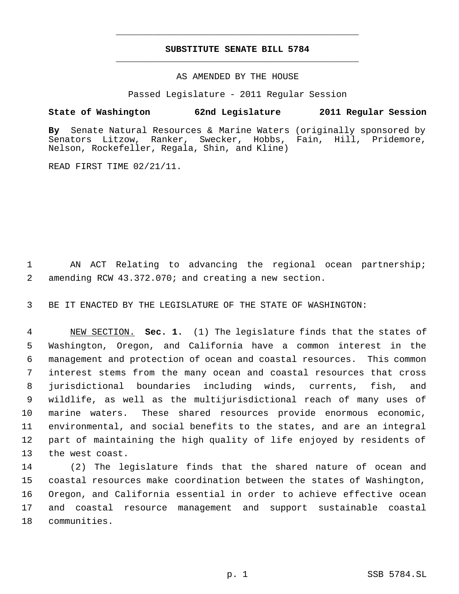## **SUBSTITUTE SENATE BILL 5784** \_\_\_\_\_\_\_\_\_\_\_\_\_\_\_\_\_\_\_\_\_\_\_\_\_\_\_\_\_\_\_\_\_\_\_\_\_\_\_\_\_\_\_\_\_

\_\_\_\_\_\_\_\_\_\_\_\_\_\_\_\_\_\_\_\_\_\_\_\_\_\_\_\_\_\_\_\_\_\_\_\_\_\_\_\_\_\_\_\_\_

AS AMENDED BY THE HOUSE

Passed Legislature - 2011 Regular Session

## **State of Washington 62nd Legislature 2011 Regular Session**

**By** Senate Natural Resources & Marine Waters (originally sponsored by Senators Litzow, Ranker, Swecker, Hobbs, Fain, Hill, Pridemore, Nelson, Rockefeller, Regala, Shin, and Kline)

READ FIRST TIME 02/21/11.

 AN ACT Relating to advancing the regional ocean partnership; amending RCW 43.372.070; and creating a new section.

BE IT ENACTED BY THE LEGISLATURE OF THE STATE OF WASHINGTON:

 NEW SECTION. **Sec. 1.** (1) The legislature finds that the states of Washington, Oregon, and California have a common interest in the management and protection of ocean and coastal resources. This common interest stems from the many ocean and coastal resources that cross jurisdictional boundaries including winds, currents, fish, and wildlife, as well as the multijurisdictional reach of many uses of marine waters. These shared resources provide enormous economic, environmental, and social benefits to the states, and are an integral part of maintaining the high quality of life enjoyed by residents of the west coast.

 (2) The legislature finds that the shared nature of ocean and coastal resources make coordination between the states of Washington, Oregon, and California essential in order to achieve effective ocean and coastal resource management and support sustainable coastal communities.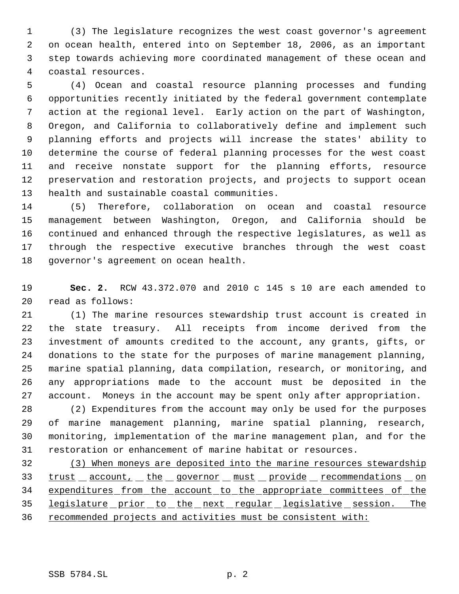(3) The legislature recognizes the west coast governor's agreement on ocean health, entered into on September 18, 2006, as an important step towards achieving more coordinated management of these ocean and coastal resources.

 (4) Ocean and coastal resource planning processes and funding opportunities recently initiated by the federal government contemplate action at the regional level. Early action on the part of Washington, Oregon, and California to collaboratively define and implement such planning efforts and projects will increase the states' ability to determine the course of federal planning processes for the west coast and receive nonstate support for the planning efforts, resource preservation and restoration projects, and projects to support ocean health and sustainable coastal communities.

 (5) Therefore, collaboration on ocean and coastal resource management between Washington, Oregon, and California should be continued and enhanced through the respective legislatures, as well as through the respective executive branches through the west coast governor's agreement on ocean health.

 **Sec. 2.** RCW 43.372.070 and 2010 c 145 s 10 are each amended to read as follows:

 (1) The marine resources stewardship trust account is created in the state treasury. All receipts from income derived from the investment of amounts credited to the account, any grants, gifts, or donations to the state for the purposes of marine management planning, marine spatial planning, data compilation, research, or monitoring, and any appropriations made to the account must be deposited in the account. Moneys in the account may be spent only after appropriation.

 (2) Expenditures from the account may only be used for the purposes of marine management planning, marine spatial planning, research, monitoring, implementation of the marine management plan, and for the restoration or enhancement of marine habitat or resources.

 (3) When moneys are deposited into the marine resources stewardship 33 trust account, the governor must provide recommendations on 34 expenditures from the account to the appropriate committees of the 35 legislature prior to the next regular legislative session. The 36 recommended projects and activities must be consistent with: